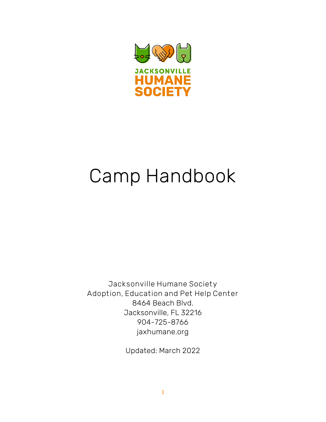

# Camp Handbook

Jacksonville Humane Society Adoption, Education and Pet Help Center 8464 Beach Blvd. Jacksonville, FL 32216 904-725-8766 jaxhumane.org

Updated: March 2022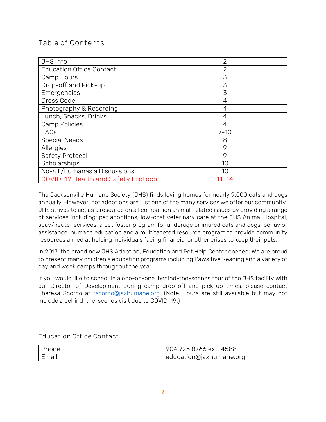## Table of Contents

| JHS Info                            | $\overline{2}$ |
|-------------------------------------|----------------|
| <b>Education Office Contact</b>     | $\overline{2}$ |
| Camp Hours                          | 3              |
| Drop-off and Pick-up                | 3              |
| Emergencies                         | 3              |
| Dress Code                          | 4              |
| Photography & Recording             | 4              |
| Lunch, Snacks, Drinks               | 4              |
| <b>Camp Policies</b>                | 4              |
| FAQs                                | $7 - 10$       |
| <b>Special Needs</b>                | 8              |
| Allergies                           | 9              |
| Safety Protocol                     | 9              |
| Scholarships                        | 10             |
| No-Kill/Euthanasia Discussions      | 10             |
| COVID-19 Health and Safety Protocol | $11 - 14$      |

The Jacksonville Humane Society (JHS) finds loving homes for nearly 9,000 cats and dogs annually. However, pet adoptions are just one of the many services we offer our community. JHS strives to act as a resource on all companion animal-related issues by providing a range of services including: pet adoptions, low-cost veterinary care at the JHS Animal Hospital, spay/neuter services, a pet foster program for underage or injured cats and dogs, behavior assistance, humane education and a multifaceted resource program to provide community resources aimed at helping individuals facing financial or other crises to keep their pets.

In 2017, the brand new JHS Adoption, Education and Pet Help Center opened. We are proud to present many children's education programs including Pawsitive Reading and a variety of day and week camps throughout the year.

If you would like to schedule a one-on-one, behind-the-scenes tour of the JHS facility with our Director of Development during camp drop-off and pick-up times, please contact Theresa Scordo at [tscordo@jaxhumane.org.](mailto:tscordo@jaxhumane.org) (Note: Tours are still available but may not include a behind-the-scenes visit due to COVID-19.)

Education Office Contact

| Phone | 904.725.8766 ext. 4588  |
|-------|-------------------------|
| Email | education@jaxhumane.org |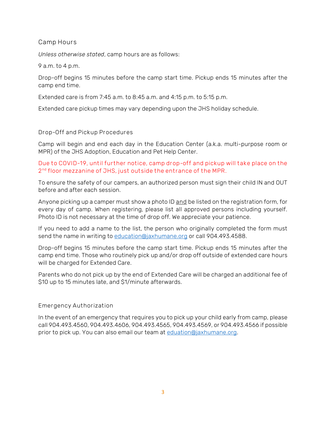#### Camp Hours

*Unless otherwise stated*, camp hours are as follows:

9 a.m. to 4 p.m.

Drop-off begins 15 minutes before the camp start time. Pickup ends 15 minutes after the camp end time.

Extended care is from 7:45 a.m. to 8:45 a.m. and 4:15 p.m. to 5:15 p.m.

Extended care pickup times may vary depending upon the JHS holiday schedule.

#### Drop-Off and Pickup Procedures

Camp will begin and end each day in the Education Center (a.k.a. multi-purpose room or MPR) of the JHS Adoption, Education and Pet Help Center.

#### Due to COVID-19, until further notice, camp drop-off and pickup will take place on the 2 nd floor mezzanine of JHS, just outside the entrance of the MPR.

To ensure the safety of our campers, an authorized person must sign their child IN and OUT before and after each session.

Anyone picking up a camper must show a photo ID and be listed on the registration form, for every day of camp. When registering, please list all approved persons including yourself. Photo ID is not necessary at the time of drop off. We appreciate your patience.

If you need to add a name to the list, the person who originally completed the form must send the name in writing to [education@jaxhumane.org](mailto:education@jaxhumane.org) or call 904.493.4588.

Drop-off begins 15 minutes before the camp start time. Pickup ends 15 minutes after the camp end time. Those who routinely pick up and/or drop off outside of extended care hours will be charged for Extended Care.

Parents who do not pick up by the end of Extended Care will be charged an additional fee of \$10 up to 15 minutes late, and \$1/minute afterwards.

#### Emergency Authorization

In the event of an emergency that requires you to pick up your child early from camp, please call 904.493.4560, 904.493.4606, 904.493.4565, 904.493.4569, or 904.493.4566 if possible prior to pick up. You can also email our team a[t eduation@jaxhumane.org.](mailto:eduation@jaxhumane.org)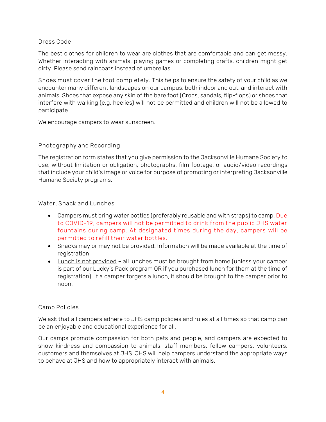#### Dress Code

The best clothes for children to wear are clothes that are comfortable and can get messy. Whether interacting with animals, playing games or completing crafts, children might get dirty. Please send raincoats instead of umbrellas.

Shoes must cover the foot completely. This helps to ensure the safety of your child as we encounter many different landscapes on our campus, both indoor and out, and interact with animals. Shoes that expose any skin of the bare foot (Crocs, sandals, flip-flops) or shoes that interfere with walking (e.g. heelies) will not be permitted and children will not be allowed to participate.

We encourage campers to wear sunscreen.

#### Photography and Recording

The registration form states that you give permission to the Jacksonville Humane Society to use, without limitation or obligation, photographs, film footage, or audio/video recordings that include your child's image or voice for purpose of promoting or interpreting Jacksonville Humane Society programs.

#### Water, Snack and Lunches

- Campers must bring water bottles (preferably reusable and with straps) to camp. Due to COVID-19, campers will not be permitted to drink from the public JHS water fountains during camp. At designated times during the day, campers will be permitted to refill their water bottles.
- Snacks may or may not be provided. Information will be made available at the time of registration.
- Lunch is not provided all lunches must be brought from home (unless your camper is part of our Lucky's Pack program OR if you purchased lunch for them at the time of registration). If a camper forgets a lunch, it should be brought to the camper prior to noon.

#### Camp Policies

We ask that all campers adhere to JHS camp policies and rules at all times so that camp can be an enjoyable and educational experience for all.

Our camps promote compassion for both pets and people, and campers are expected to show kindness and compassion to animals, staff members, fellow campers, volunteers, customers and themselves at JHS. JHS will help campers understand the appropriate ways to behave at JHS and how to appropriately interact with animals.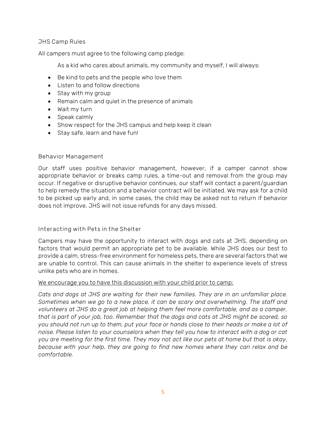#### JHS Camp Rules

All campers must agree to the following camp pledge:

As a kid who cares about animals, my community and myself, I will always:

- Be kind to pets and the people who love them
- Listen to and follow directions
- Stay with my group
- Remain calm and quiet in the presence of animals
- Wait my turn
- Speak calmly
- Show respect for the JHS campus and help keep it clean
- Stay safe, learn and have fun!

#### Behavior Management

Our staff uses positive behavior management, however, if a camper cannot show appropriate behavior or breaks camp rules, a time-out and removal from the group may occur. If negative or disruptive behavior continues, our staff will contact a parent/guardian to help remedy the situation and a behavior contract will be initiated. We may ask for a child to be picked up early and, in some cases, the child may be asked not to return if behavior does not improve. JHS will not issue refunds for any days missed.

#### Interacting with Pets in the Shelter

Campers may have the opportunity to interact with dogs and cats at JHS, depending on factors that would permit an appropriate pet to be available. While JHS does our best to provide a calm, stress-free environment for homeless pets, there are several factors that we are unable to control. This can cause animals in the shelter to experience levels of stress unlike pets who are in homes.

#### We encourage you to have this discussion with your child prior to camp:

*Cats and dogs at JHS are waiting for their new families. They are in an unfamiliar place. Sometimes when we go to a new place, it can be scary and overwhelming. The staff and volunteers at JHS do a great job at helping them feel more comfortable, and as a camper, that is part of your job, too. Remember that the dogs and cats at JHS might be scared, so you should not run up to them, put your face or hands close to their heads or make a lot of noise. Please listen to your counselors when they tell you how to interact with a dog or cat you are meeting for the first time. They may not act like our pets at home but that is okay, because with your help, they are going to find new homes where they can relax and be comfortable.*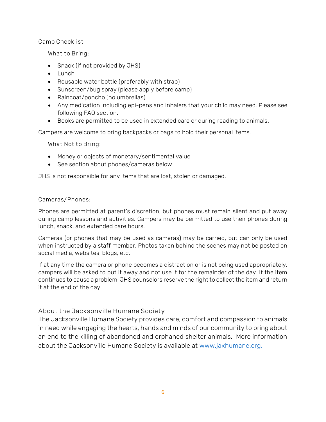#### Camp Checklist

What to Bring:

- Snack (if not provided by JHS)
- Lunch
- Reusable water bottle (preferably with strap)
- Sunscreen/bug spray (please apply before camp)
- Raincoat/poncho (no umbrellas)
- Any medication including epi-pens and inhalers that your child may need. Please see following FAQ section.
- Books are permitted to be used in extended care or during reading to animals.

Campers are welcome to bring backpacks or bags to hold their personal items.

What Not to Bring:

- Money or objects of monetary/sentimental value
- See section about phones/cameras below

JHS is not responsible for any items that are lost, stolen or damaged.

#### Cameras/Phones:

Phones are permitted at parent's discretion, but phones must remain silent and put away during camp lessons and activities. Campers may be permitted to use their phones during lunch, snack, and extended care hours.

Cameras (or phones that may be used as cameras) may be carried, but can only be used when instructed by a staff member. Photos taken behind the scenes may not be posted on social media, websites, blogs, etc.

If at any time the camera or phone becomes a distraction or is not being used appropriately, campers will be asked to put it away and not use it for the remainder of the day. If the item continues to cause a problem, JHS counselors reserve the right to collect the item and return it at the end of the day.

#### About the Jacksonville Humane Society

The Jacksonville Humane Society provides care, comfort and compassion to animals in need while engaging the hearts, hands and minds of our community to bring about an end to the killing of abandoned and orphaned shelter animals. More information about the Jacksonville Humane Society is available at [www.jaxhumane.org.](http://www.jaxhumane.org/)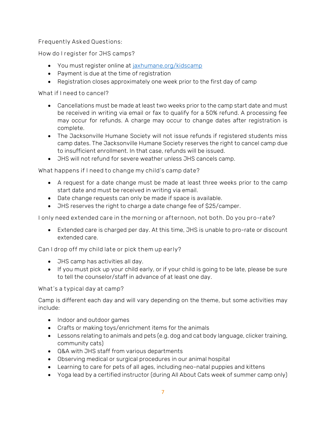Frequently Asked Questions:

How do I register for JHS camps?

- You must register online at [jaxhumane.org/kidscamp](file:///C:/JHS/Development/Humane%20Education/Camp/Handbook/jaxhumane.org/kidscamp)
- Payment is due at the time of registration
- Registration closes approximately one week prior to the first day of camp

What if I need to cancel?

- Cancellations must be made at least two weeks prior to the camp start date and must be received in writing via email or fax to qualify for a 50% refund. A processing fee may occur for refunds. A charge may occur to change dates after registration is complete.
- The Jacksonville Humane Society will not issue refunds if registered students miss camp dates. The Jacksonville Humane Society reserves the right to cancel camp due to insufficient enrollment. In that case, refunds will be issued.
- JHS will not refund for severe weather unless JHS cancels camp.

What happens if I need to change my child's camp date?

- A request for a date change must be made at least three weeks prior to the camp start date and must be received in writing via email.
- Date change requests can only be made if space is available.
- JHS reserves the right to charge a date change fee of \$25/camper.

I only need extended care in the morning or afternoon, not both. Do you pro-rate?

• Extended care is charged per day. At this time, JHS is unable to pro-rate or discount extended care.

Can I drop off my child late or pick them up early?

- JHS camp has activities all day.
- If you must pick up your child early, or if your child is going to be late, please be sure to tell the counselor/staff in advance of at least one day.

What's a typical day at camp?

Camp is different each day and will vary depending on the theme, but some activities may include:

- Indoor and outdoor games
- Crafts or making toys/enrichment items for the animals
- Lessons relating to animals and pets (e.g. dog and cat body language, clicker training, community cats)
- Q&A with JHS staff from various departments
- Observing medical or surgical procedures in our animal hospital
- Learning to care for pets of all ages, including neo-natal puppies and kittens
- Yoga lead by a certified instructor (during All About Cats week of summer camp only)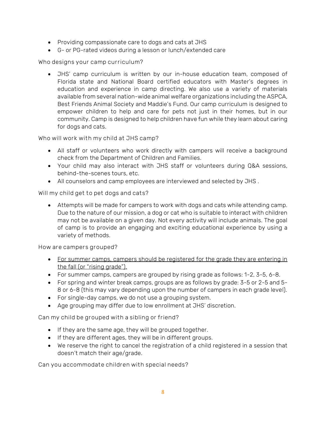- Providing compassionate care to dogs and cats at JHS
- G- or PG-rated videos during a lesson or lunch/extended care

Who designs your camp curriculum?

• JHS' camp curriculum is written by our in-house education team, composed of Florida state and National Board certified educators with Master's degrees in education and experience in camp directing. We also use a variety of materials available from several nation-wide animal welfare organizations including the ASPCA, Best Friends Animal Society and Maddie's Fund. Our camp curriculum is designed to empower children to help and care for pets not just in their homes, but in our community. Camp is designed to help children have fun while they learn about caring for dogs and cats.

Who will work with my child at JHS camp?

- All staff or volunteers who work directly with campers will receive a background check from the Department of Children and Families.
- Your child may also interact with JHS staff or volunteers during Q&A sessions, behind-the-scenes tours, etc.
- All counselors and camp employees are interviewed and selected by JHS .

Will my child get to pet dogs and cats?

• Attempts will be made for campers to work with dogs and cats while attending camp. Due to the nature of our mission, a dog or cat who is suitable to interact with children may not be available on a given day. Not every activity will include animals. The goal of camp is to provide an engaging and exciting educational experience by using a variety of methods.

How are campers grouped?

- For summer camps, campers should be registered for the grade they are entering in the fall (or "rising grade").
- For summer camps, campers are grouped by rising grade as follows: 1-2, 3-5, 6-8.
- For spring and winter break camps, groups are as follows by grade: 3-5 or 2-5 and 5- 8 or 6-8 (this may vary depending upon the number of campers in each grade level).
- For single-day camps, we do not use a grouping system.
- Age grouping may differ due to low enrollment at JHS' discretion.

Can my child be grouped with a sibling or friend?

- If they are the same age, they will be grouped together.
- If they are different ages, they will be in different groups.
- We reserve the right to cancel the registration of a child registered in a session that doesn't match their age/grade.

Can you accommodate children with special needs?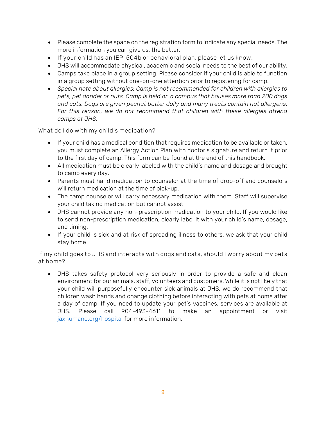- Please complete the space on the registration form to indicate any special needs. The more information you can give us, the better.
- If your child has an IEP, 504b or behavioral plan, please let us know.
- JHS will accommodate physical, academic and social needs to the best of our ability.
- Camps take place in a group setting. Please consider if your child is able to function in a group setting without one-on-one attention prior to registering for camp.
- *Special note about allergies: Camp is not recommended for children with allergies to pets, pet dander or nuts. Camp is held on a campus that houses more than 200 dogs and cats. Dogs are given peanut butter daily and many treats contain nut allergens.*  For this reason, we do not recommend that children with these allergies attend *camps at JHS.*

What do I do with my child's medication?

- If your child has a medical condition that requires medication to be available or taken, you must complete an Allergy Action Plan with doctor's signature and return it prior to the first day of camp. This form can be found at the end of this handbook.
- All medication must be clearly labeled with the child's name and dosage and brought to camp every day.
- Parents must hand medication to counselor at the time of drop-off and counselors will return medication at the time of pick-up.
- The camp counselor will carry necessary medication with them. Staff will supervise your child taking medication but cannot assist.
- JHS cannot provide any non-prescription medication to your child. If you would like to send non-prescription medication, clearly label it with your child's name, dosage, and timing.
- If your child is sick and at risk of spreading illness to others, we ask that your child stay home.

If my child goes to JHS and interacts with dogs and cats, should I worry about my pets at home?

• JHS takes safety protocol very seriously in order to provide a safe and clean environment for our animals, staff, volunteers and customers. While it is not likely that your child will purposefully encounter sick animals at JHS, we do recommend that children wash hands and change clothing before interacting with pets at home after a day of camp. If you need to update your pet's vaccines, services are available at JHS. Please call 904-493-4611 to make an appointment or visit jaxhumane.org/hospital for more information.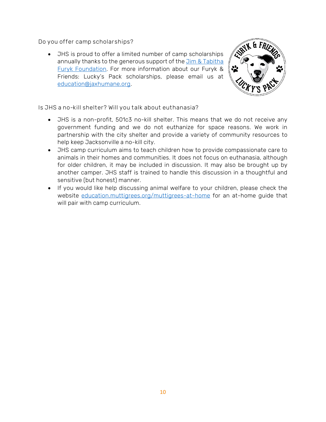Do you offer camp scholarships?

• JHS is proud to offer a limited number of camp scholarships annually thanks to the generous support of the Jim & Tabitha [Furyk Foundation.](https://jimandtabithafurykfoundation.com/) For more information about our Furyk & Friends: Lucky's Pack scholarships, please email us at [education@jaxhumane.org.](mailto:education@jaxhumane.org?subject=Lucky)



Is JHS a no-kill shelter? Will you talk about euthanasia?

- JHS is a non-profit, 501c3 no-kill shelter. This means that we do not receive any government funding and we do not euthanize for space reasons. We work in partnership with the city shelter and provide a variety of community resources to help keep Jacksonville a no-kill city.
- JHS camp curriculum aims to teach children how to provide compassionate care to animals in their homes and communities. It does not focus on euthanasia, although for older children, it may be included in discussion. It may also be brought up by another camper. JHS staff is trained to handle this discussion in a thoughtful and sensitive (but honest) manner.
- If you would like help discussing animal welfare to your children, please check the website [education.muttigrees.org/muttigrees-at-home](http://education.muttigrees.org/muttigrees-at-home) for an at-home guide that will pair with camp curriculum.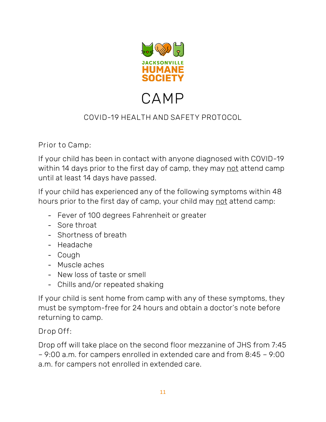

# CAMP

# COVID-19 HEALTH AND SAFETY PROTOCOL

Prior to Camp:

If your child has been in contact with anyone diagnosed with COVID-19 within 14 days prior to the first day of camp, they may not attend camp until at least 14 days have passed.

If your child has experienced any of the following symptoms within 48 hours prior to the first day of camp, your child may not attend camp:

- Fever of 100 degrees Fahrenheit or greater
- Sore throat
- Shortness of breath
- Headache
- Cough
- Muscle aches
- New loss of taste or smell
- Chills and/or repeated shaking

If your child is sent home from camp with any of these symptoms, they must be symptom-free for 24 hours and obtain a doctor's note before returning to camp.

Drop Off:

Drop off will take place on the second floor mezzanine of JHS from 7:45 – 9:00 a.m. for campers enrolled in extended care and from 8:45 – 9:00 a.m. for campers not enrolled in extended care.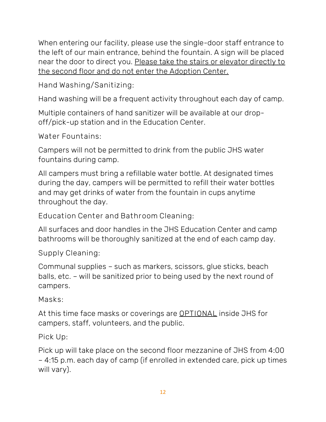When entering our facility, please use the single-door staff entrance to the left of our main entrance, behind the fountain. A sign will be placed near the door to direct you. Please take the stairs or elevator directly to the second floor and do not enter the Adoption Center.

Hand Washing/Sanitizing:

Hand washing will be a frequent activity throughout each day of camp.

Multiple containers of hand sanitizer will be available at our dropoff/pick-up station and in the Education Center.

Water Fountains:

Campers will not be permitted to drink from the public JHS water fountains during camp.

All campers must bring a refillable water bottle. At designated times during the day, campers will be permitted to refill their water bottles and may get drinks of water from the fountain in cups anytime throughout the day.

Education Center and Bathroom Cleaning:

All surfaces and door handles in the JHS Education Center and camp bathrooms will be thoroughly sanitized at the end of each camp day.

Supply Cleaning:

Communal supplies – such as markers, scissors, glue sticks, beach balls, etc. – will be sanitized prior to being used by the next round of campers.

Masks:

At this time face masks or coverings are **OPTIONAL** inside JHS for campers, staff, volunteers, and the public.

Pick Up:

Pick up will take place on the second floor mezzanine of JHS from 4:00 – 4:15 p.m. each day of camp (if enrolled in extended care, pick up times will vary).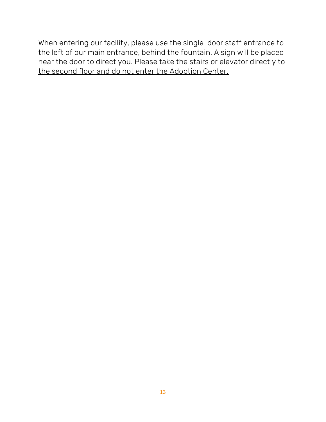When entering our facility, please use the single-door staff entrance to the left of our main entrance, behind the fountain. A sign will be placed near the door to direct you. Please take the stairs or elevator directly to the second floor and do not enter the Adoption Center.